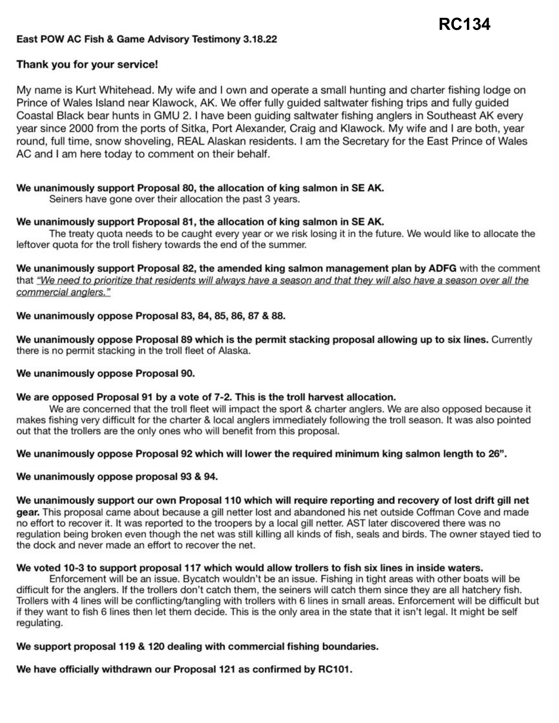# East **POW AC** Fish & **Game Advisory Testimony 3.18.22**

# **Thank you for your service!**

My name is Kurt Whitehead. My wife and I own and operate a small hunting and charter fishing lodge on Prince of Wales Island near Klawock, AK. We offer fully guided saltwater fishing trips and fully guided Coastal Black bear hunts in GMU 2. I have been guiding saltwater fishing anglers in Southeast AK every year since 2000 from the ports of Sitka, Port Alexander, Craig and Klawock. My wife and I are both, year round, full **time,** snow shoveling, REAL Alaskan residents. I am the Secretary for the East Prince of Wales AC and I am here today to comment on their behalf.

# **We unanimously support Proposal 80, the allocation of king salmon in SE AK.**

Seiners have gone over their allocation the past 3 years.

### **We unanimously support Proposal 81, the allocation of king salmon in SE AK.**

The treaty quota needs to be caught every year or we risk losing it in the future. We would like to allocate the leftover quota for the troll fishery towards the end of the summer.

**We unanimously support Proposal 82, the amended king salmon management plan by ADFG** with the comment that "We need to prioritize that residents will always have a season and that they will also have a season over all the commercial anglers."

# **We unanimously oppose Proposal 83, 84, 85, 86, 87** &**88.**

**We unanimously oppose Proposal 89 which is the permit stacking proposal allowing up to six lines.** Currently there is no permit stacking in the troll fleet of Alaska.

### **We unanimously oppose Proposal 90.**

### **We are opposed Proposal 91 by a vote of 7-2. This is the troll harvest allocation.**

We are concerned that the troll fleet will impact the sport & charter anglers. We are also opposed because it makes fishing very difficult for the charter & local anglers immediately following the troll season. **It** was also pointed out that the trollers are the only ones who will benefit from this proposal.

### We unanimously oppose Proposal 92 which will lower the required minimum king salmon length to 26".

### **We unanimously oppose proposal 93** & **94.**

# We unanimously support our own Proposal 110 which will require reporting and recovery of lost drift gill net

gear. This proposal came about because a gill netter lost and abandoned his net outside Coffman Cove and made no effort to recover it. It was reported to the troopers by a local gill netter. AST later discovered there was no regulation being broken even though the net was still killing all kinds of fish, seals and birds. The owner stayed tied to the dock and never made an effort to recover the net.

### **We voted 10-3 to support proposal 117 which would allow trollers to fish six lines in inside waters.**

Enforcement will be an issue. Bycatch wouldn't be an issue. Fishing in tight areas with other boats will be difficult for the anglers. If the trollers don't catch them, the seiners will catch them since they are all hatchery fish. Trollers with 4 lines will be conflicting/tangling with trollers with 6 lines in small areas. Enforcement will be difficult but if they want to fish 6 lines then let them decide. This is the only area in the state that it isn't legal. It might be self regulating.

# We support proposal 119 & 120 dealing with commercial fishing boundaries.

We have officially withdrawn our Proposal 121 as confirmed by RC101.